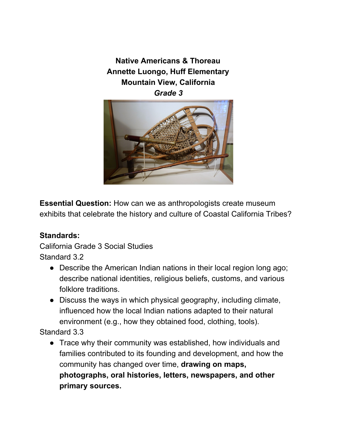**Native Americans & Thoreau Annette Luongo, Huff Elementary Mountain View, California** *Grade 3*



**Essential Question:** How can we as anthropologists create museum exhibits that celebrate the history and culture of Coastal California Tribes?

# **Standards:**

California Grade 3 Social Studies Standard 3.2

- Describe the American Indian nations in their local region long ago; describe national identities, religious beliefs, customs, and various folklore traditions.
- Discuss the ways in which physical geography, including climate, influenced how the local Indian nations adapted to their natural environment (e.g., how they obtained food, clothing, tools).

Standard 3.3

● Trace why their community was established, how individuals and families contributed to its founding and development, and how the community has changed over time, **drawing on maps, photographs, oral histories, letters, newspapers, and other primary sources.**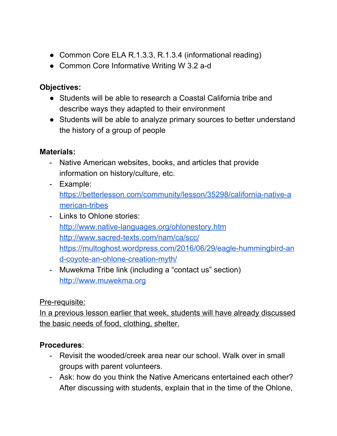- Common Core ELA R.1.3.3, R.1.3.4 (informational reading)
- Common Core Informative Writing W 3.2 a-d

# **Objectives:**

- Students will be able to research a Coastal California tribe and describe ways they adapted to their environment
- Students will be able to analyze primary sources to better understand the history of a group of people

# **Materials:**

- Native American websites, books, and articles that provide information on history/culture, etc.
- Example: [https://betterlesson.com/community/lesson/35298/california-native-a](https://betterlesson.com/community/lesson/35298/california-native-american-tribes) [merican-tribes](https://betterlesson.com/community/lesson/35298/california-native-american-tribes)
- Links to Ohlone stories: <http://www.native-languages.org/ohlonestory.htm> <http://www.sacred-texts.com/nam/ca/scc/> [https://multoghost.wordpress.com/2016/06/29/eagle-hummingbird-an](https://multoghost.wordpress.com/2016/06/29/eagle-hummingbird-and-coyote-an-ohlone-creation-myth/) [d-coyote-an-ohlone-creation-myth/](https://multoghost.wordpress.com/2016/06/29/eagle-hummingbird-and-coyote-an-ohlone-creation-myth/)
- Muwekma Tribe link (including a "contact us" section) [http://www.muwekma.org](http://www.muwekma.org/)

# Pre-requisite:

In a previous lesson earlier that week, students will have already discussed the basic needs of food, clothing, shelter.

# **Procedures**:

- Revisit the wooded/creek area near our school. Walk over in small groups with parent volunteers.
- Ask: how do you think the Native Americans entertained each other? After discussing with students, explain that in the time of the Ohlone,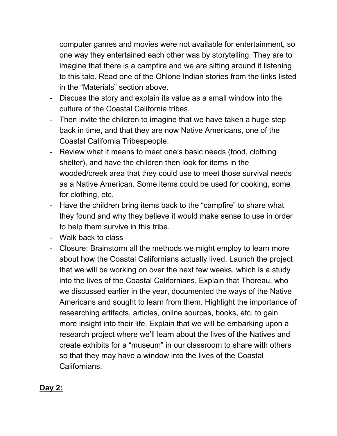computer games and movies were not available for entertainment, so one way they entertained each other was by storytelling. They are to imagine that there is a campfire and we are sitting around it listening to this tale. Read one of the Ohlone Indian stories from the links listed in the "Materials" section above.

- Discuss the story and explain its value as a small window into the culture of the Coastal California tribes.
- Then invite the children to imagine that we have taken a huge step back in time, and that they are now Native Americans, one of the Coastal California Tribespeople.
- Review what it means to meet one's basic needs (food, clothing shelter), and have the children then look for items in the wooded/creek area that they could use to meet those survival needs as a Native American. Some items could be used for cooking, some for clothing, etc.
- Have the children bring items back to the "campfire" to share what they found and why they believe it would make sense to use in order to help them survive in this tribe.
- Walk back to class
- Closure: Brainstorm all the methods we might employ to learn more about how the Coastal Californians actually lived. Launch the project that we will be working on over the next few weeks, which is a study into the lives of the Coastal Californians. Explain that Thoreau, who we discussed earlier in the year, documented the ways of the Native Americans and sought to learn from them. Highlight the importance of researching artifacts, articles, online sources, books, etc. to gain more insight into their life. Explain that we will be embarking upon a research project where we'll learn about the lives of the Natives and create exhibits for a "museum" in our classroom to share with others so that they may have a window into the lives of the Coastal Californians.

### **Day 2:**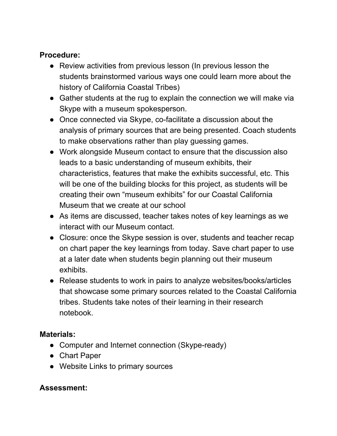## **Procedure:**

- Review activities from previous lesson (In previous lesson the students brainstormed various ways one could learn more about the history of California Coastal Tribes)
- Gather students at the rug to explain the connection we will make via Skype with a museum spokesperson.
- Once connected via Skype, co-facilitate a discussion about the analysis of primary sources that are being presented. Coach students to make observations rather than play guessing games.
- Work alongside Museum contact to ensure that the discussion also leads to a basic understanding of museum exhibits, their characteristics, features that make the exhibits successful, etc. This will be one of the building blocks for this project, as students will be creating their own "museum exhibits" for our Coastal California Museum that we create at our school
- As items are discussed, teacher takes notes of key learnings as we interact with our Museum contact.
- Closure: once the Skype session is over, students and teacher recap on chart paper the key learnings from today. Save chart paper to use at a later date when students begin planning out their museum exhibits.
- Release students to work in pairs to analyze websites/books/articles that showcase some primary sources related to the Coastal California tribes. Students take notes of their learning in their research notebook.

# **Materials:**

- Computer and Internet connection (Skype-ready)
- Chart Paper
- Website Links to primary sources

# **Assessment:**